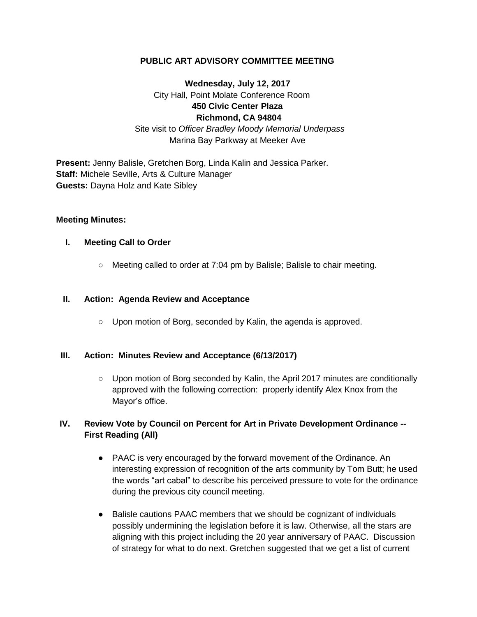#### **PUBLIC ART ADVISORY COMMITTEE MEETING**

## **Wednesday, July 12, 2017** City Hall, Point Molate Conference Room  **450 Civic Center Plaza Richmond, CA 94804** Site visit to *Officer Bradley Moody Memorial Underpass* Marina Bay Parkway at Meeker Ave

**Present:** Jenny Balisle, Gretchen Borg, Linda Kalin and Jessica Parker. **Staff:** Michele Seville, Arts & Culture Manager **Guests:** Dayna Holz and Kate Sibley

#### **Meeting Minutes:**

#### **I. Meeting Call to Order**

○ Meeting called to order at 7:04 pm by Balisle; Balisle to chair meeting.

#### **II. Action: Agenda Review and Acceptance**

○ Upon motion of Borg, seconded by Kalin, the agenda is approved.

#### **III. Action: Minutes Review and Acceptance (6/13/2017)**

○ Upon motion of Borg seconded by Kalin, the April 2017 minutes are conditionally approved with the following correction: properly identify Alex Knox from the Mayor's office.

## **IV. Review Vote by Council on Percent for Art in Private Development Ordinance -- First Reading (All)**

- PAAC is very encouraged by the forward movement of the Ordinance. An interesting expression of recognition of the arts community by Tom Butt; he used the words "art cabal" to describe his perceived pressure to vote for the ordinance during the previous city council meeting.
- Balisle cautions PAAC members that we should be cognizant of individuals possibly undermining the legislation before it is law. Otherwise, all the stars are aligning with this project including the 20 year anniversary of PAAC. Discussion of strategy for what to do next. Gretchen suggested that we get a list of current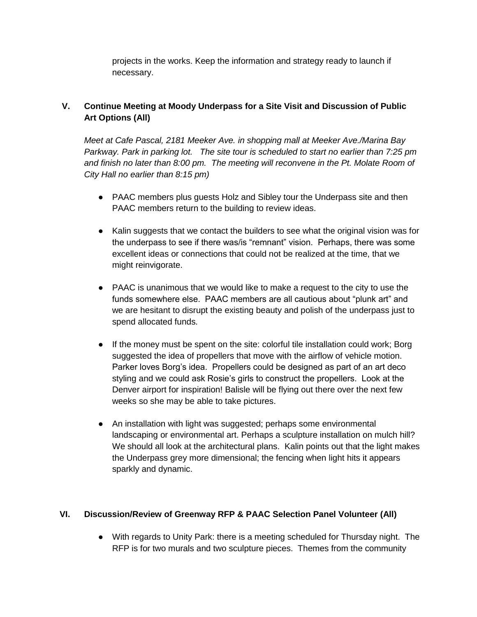projects in the works. Keep the information and strategy ready to launch if necessary.

## **V. Continue Meeting at Moody Underpass for a Site Visit and Discussion of Public Art Options (All)**

*Meet at Cafe Pascal, 2181 Meeker Ave. in shopping mall at Meeker Ave./Marina Bay Parkway. Park in parking lot. The site tour is scheduled to start no earlier than 7:25 pm and finish no later than 8:00 pm. The meeting will reconvene in the Pt. Molate Room of City Hall no earlier than 8:15 pm)*

- PAAC members plus guests Holz and Sibley tour the Underpass site and then PAAC members return to the building to review ideas.
- Kalin suggests that we contact the builders to see what the original vision was for the underpass to see if there was/is "remnant" vision. Perhaps, there was some excellent ideas or connections that could not be realized at the time, that we might reinvigorate.
- PAAC is unanimous that we would like to make a request to the city to use the funds somewhere else. PAAC members are all cautious about "plunk art" and we are hesitant to disrupt the existing beauty and polish of the underpass just to spend allocated funds.
- If the money must be spent on the site: colorful tile installation could work; Borg suggested the idea of propellers that move with the airflow of vehicle motion. Parker loves Borg's idea. Propellers could be designed as part of an art deco styling and we could ask Rosie's girls to construct the propellers. Look at the Denver airport for inspiration! Balisle will be flying out there over the next few weeks so she may be able to take pictures.
- An installation with light was suggested; perhaps some environmental landscaping or environmental art. Perhaps a sculpture installation on mulch hill? We should all look at the architectural plans. Kalin points out that the light makes the Underpass grey more dimensional; the fencing when light hits it appears sparkly and dynamic.

## **VI. Discussion/Review of Greenway RFP & PAAC Selection Panel Volunteer (All)**

● With regards to Unity Park: there is a meeting scheduled for Thursday night. The RFP is for two murals and two sculpture pieces. Themes from the community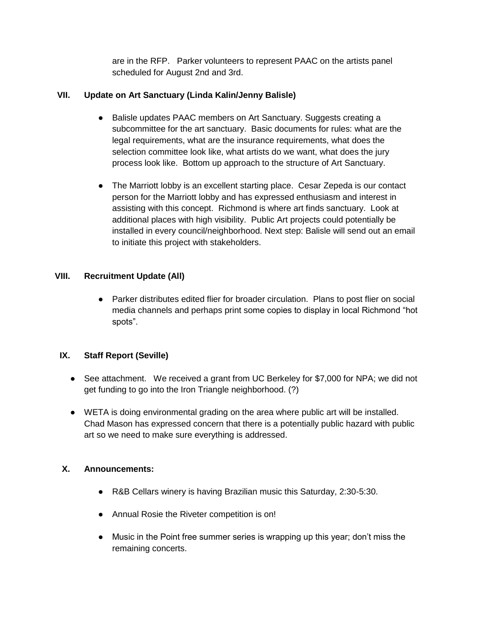are in the RFP. Parker volunteers to represent PAAC on the artists panel scheduled for August 2nd and 3rd.

#### **VII. Update on Art Sanctuary (Linda Kalin/Jenny Balisle)**

- Balisle updates PAAC members on Art Sanctuary. Suggests creating a subcommittee for the art sanctuary. Basic documents for rules: what are the legal requirements, what are the insurance requirements, what does the selection committee look like, what artists do we want, what does the jury process look like. Bottom up approach to the structure of Art Sanctuary.
- The Marriott lobby is an excellent starting place. Cesar Zepeda is our contact person for the Marriott lobby and has expressed enthusiasm and interest in assisting with this concept. Richmond is where art finds sanctuary. Look at additional places with high visibility. Public Art projects could potentially be installed in every council/neighborhood. Next step: Balisle will send out an email to initiate this project with stakeholders.

#### **VIII. Recruitment Update (All)**

● Parker distributes edited flier for broader circulation. Plans to post flier on social media channels and perhaps print some copies to display in local Richmond "hot spots".

## **IX. Staff Report (Seville)**

- See attachment. We received a grant from UC Berkeley for \$7,000 for NPA; we did not get funding to go into the Iron Triangle neighborhood. (?)
- WETA is doing environmental grading on the area where public art will be installed. Chad Mason has expressed concern that there is a potentially public hazard with public art so we need to make sure everything is addressed.

## **X. Announcements:**

- R&B Cellars winery is having Brazilian music this Saturday, 2:30-5:30.
- Annual Rosie the Riveter competition is on!
- Music in the Point free summer series is wrapping up this year; don't miss the remaining concerts.